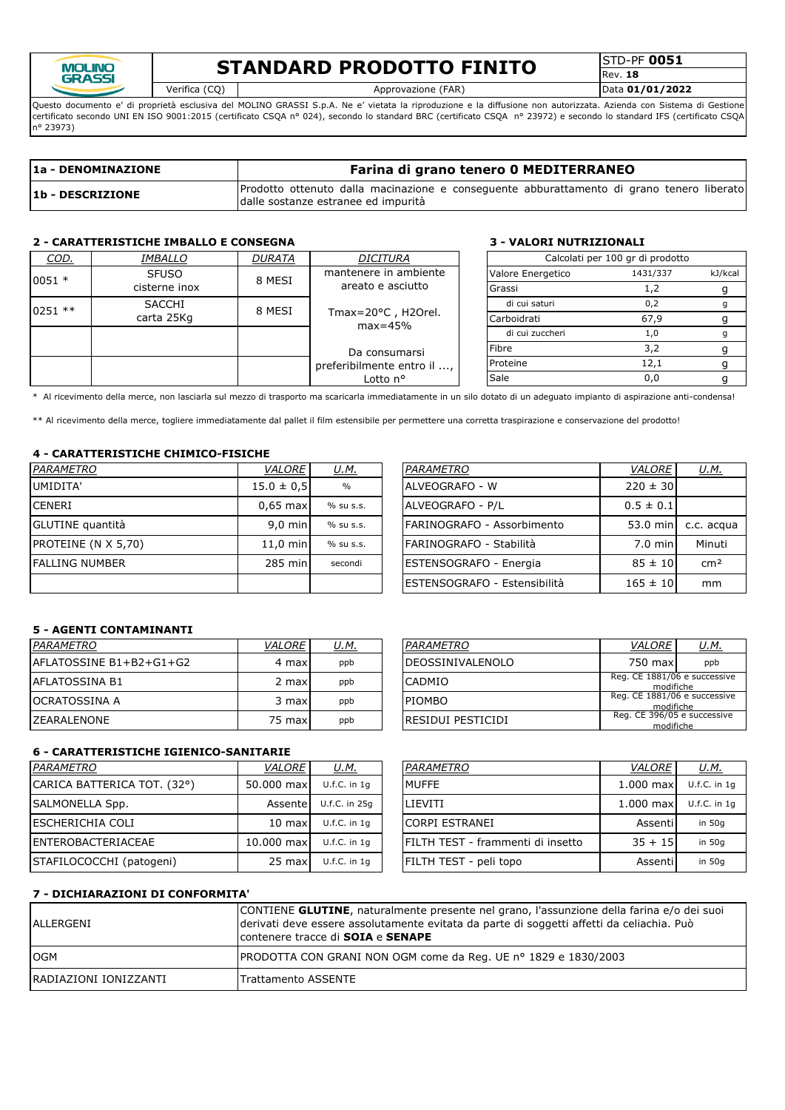

## **STANDARD PRODOTTO FINITO**

STD-PF **0051** Rev. **18**

Verifica (CQ) Approvazione (FAR) Data **01/01/2022**

Questo documento e' di proprietà esclusiva del MOLINO GRASSI S.p.A. Ne e' vietata la riproduzione e la diffusione non autorizzata. Azienda con Sistema di Gestione certificato secondo UNI EN ISO 9001:2015 (certificato CSQA nº 024), secondo lo standard BRC (certificato CSQA nº 23972) e secondo lo standard IFS (certificato CSQA n° 23973)

| 1a - DENOMINAZIONE      | Farina di grano tenero 0 MEDITERRANEO                                                                                            |  |  |  |  |  |  |  |  |  |
|-------------------------|----------------------------------------------------------------------------------------------------------------------------------|--|--|--|--|--|--|--|--|--|
| <b>1b - DESCRIZIONE</b> | Prodotto ottenuto dalla macinazione e conseguente abburattamento di grano tenero liberato<br>dalle sostanze estranee ed impurità |  |  |  |  |  |  |  |  |  |

### **2 - CARATTERISTICHE IMBALLO E CONSEGNA 3 - VALORI NUTRIZIONALI**

| COD.      | <i>IMBALLO</i> | <b>DURATA</b> | <b>DICITURA</b>                            |  |                   | Calcolati per 100 gr di prodotto |         |
|-----------|----------------|---------------|--------------------------------------------|--|-------------------|----------------------------------|---------|
| $0051 *$  | <b>SFUSO</b>   | 8 MESI        | mantenere in ambiente                      |  | Valore Energetico | 1431/337                         | kJ/kcal |
|           | cisterne inox  |               | areato e asciutto                          |  | Grassi            |                                  |         |
| $0251$ ** | <b>SACCHI</b>  | 8 MESI        |                                            |  | di cui saturi     | 0,2                              |         |
|           | carta 25Kg     |               | Tmax= $20^{\circ}$ C, H2Orel.<br>$max=45%$ |  | Carboidrati       | 67,9                             |         |
|           |                |               |                                            |  | di cui zuccheri   | 1.0                              |         |
|           |                |               | Da consumarsi                              |  | Fibre             | 3.2                              |         |
|           |                |               | preferibilmente entro il ,                 |  | Proteine          | 12,1                             |         |
|           |                |               | Lotto n°                                   |  | Sale              | 0.0                              |         |

\* Al ricevimento della merce, non lasciarla sul mezzo di trasporto ma scaricarla immediatamente in un silo dotato di un adeguato impianto di aspirazione anti-condensa!

\*\* Al ricevimento della merce, togliere immediatamente dal pallet il film estensibile per permettere una corretta traspirazione e conservazione del prodotto!

#### **4 - CARATTERISTICHE CHIMICO-FISICHE**

| PARAMETRO                  | VALORE            | <u>U.M.</u> | PARAMETRO                            | <b>VALORE</b>     | <u>U.M.</u>     |
|----------------------------|-------------------|-------------|--------------------------------------|-------------------|-----------------|
| UMIDITA'                   | $15.0 \pm 0.5$    | $\%$        | ALVEOGRAFO - W                       | $220 \pm 30$      |                 |
| <b>CENERI</b>              | $0.65$ max        | % su s.s.   | <b>ALVEOGRAFO - P/L</b>              | $0.5 \pm 0.1$     |                 |
| GLUTINE quantità           | $9.0 \text{ min}$ | % su s.s.   | FARINOGRAFO - Assorbimento           | 53.0 min          | c.c. acqua      |
| <b>PROTEINE (N X 5,70)</b> | $11.0$ min        | % su s.s.   | FARINOGRAFO - Stabilità              | $7.0 \text{ min}$ | Minuti          |
| <b>FALLING NUMBER</b>      | 285 min           | secondi     | <b>ESTENSOGRAFO - Energia</b>        | $85 \pm 10$       | cm <sup>2</sup> |
|                            |                   |             | <b>IESTENSOGRAFO - Estensibilità</b> | $165 \pm 10$      | mm              |

| <u>U.M.</u>   | PARAMETRO                    | <b>VALORE</b> | <u>U.M.</u>     |
|---------------|------------------------------|---------------|-----------------|
| $\frac{0}{0}$ | ALVEOGRAFO - W               | $220 \pm 30$  |                 |
| % su s.s.     | ALVEOGRAFO - P/L             | $0.5 \pm 0.1$ |                 |
| % su s.s.     | FARINOGRAFO - Assorbimento   | 53.0 min      | c.c. acqua      |
| % su s.s.     | FARINOGRAFO - Stabilità      | $7.0$ min     | Minuti          |
| secondi       | ESTENSOGRAFO - Energia       | $85 \pm 10$   | cm <sup>2</sup> |
|               | ESTENSOGRAFO - Estensibilità | $165 \pm 10$  | mm              |

### **5 - AGENTI CONTAMINANTI**

| PARAMETRO                | <i>VALORE</i> | U.M. | PARAMETRO          | <b>VALORE</b>                             | <u>U.M.</u> |
|--------------------------|---------------|------|--------------------|-------------------------------------------|-------------|
| IAFLATOSSINE B1+B2+G1+G2 | 4 maxl        | ppb  | IDEOSSINIVALENOLO  | 750 max                                   | ppb         |
| <b>LAFLATOSSINA B1</b>   | 2 max         | ppb  | <b>CADMIO</b>      | Reg. CE 1881/06 e successive<br>modifiche |             |
| <b>OCRATOSSINA A</b>     | 3 maxl        | ppb  | <b>PIOMBO</b>      | Reg. CE 1881/06 e successive<br>modifiche |             |
| <b>IZEARALENONE</b>      | 75 max        | ppb  | IRESIDUI PESTICIDI | Reg. CE 396/05 e successive<br>modifiche  |             |

### **6 - CARATTERISTICHE IGIENICO-SANITARIE**

| PARAMETRO                   | <b>VALORE</b>    | <u>U.M.</u>    | PARAMETRO                         | VALORE      | <u>U.M.</u>      |
|-----------------------------|------------------|----------------|-----------------------------------|-------------|------------------|
| CARICA BATTERICA TOT. (32°) | 50.000 max       | U.f.C. in 1a   | MUFFE                             | $1.000$ max | $U.f.C.$ in $1c$ |
| <b>SALMONELLA Spp.</b>      | Assente          | U.f.C. in 25g  | <b>LIEVITI</b>                    | $1.000$ max | $U.f.C.$ in $1c$ |
| ESCHERICHIA COLI            | $10 \text{ max}$ | $U.f.C.$ in 1q | <b>CORPI ESTRANEI</b>             | Assentil    | in 50g           |
| ENTEROBACTERIACEAE          | 10,000 max       | $U.f.C.$ in 1q | FILTH TEST - frammenti di insetto | $35 + 15$   | in 50a           |
| STAFILOCOCCHI (patogeni)    | 25 max           | $U.f.C.$ in 1q | FILTH TEST - peli topo            | Assentil    | in 50g           |

| <i>PARAMETRO</i>        | <b>VALORE</b>                             | U.M. |  |
|-------------------------|-------------------------------------------|------|--|
| <b>DEOSSINIVALENOLO</b> | 750 max                                   | ppb  |  |
| CADMIO                  | Reg. CE 1881/06 e successive<br>modifiche |      |  |
| PIOMBO                  | Reg. CE 1881/06 e successive<br>modifiche |      |  |
| RESIDUI PESTICIDI       | Reg. CE 396/05 e successive<br>modifiche  |      |  |

| PARAMETRO                         | <b>VALORE</b> | U.M.           |
|-----------------------------------|---------------|----------------|
| <b>MUFFE</b>                      | $1.000$ max   | $U.f.C.$ in 1q |
| LIEVITI                           | $1.000$ max   | $U.f.C.$ in 1q |
| <b>CORPI ESTRANEI</b>             | Assentil      | in $50q$       |
| FILTH TEST - frammenti di insetto | $35 + 15$     | in 50g         |
| FILTH TEST - peli topo            | Assentil      | in $50g$       |

### **7 - DICHIARAZIONI DI CONFORMITA'**

| ALLERGENI              | CONTIENE GLUTINE, naturalmente presente nel grano, l'assunzione della farina e/o dei suoi<br>derivati deve essere assolutamente evitata da parte di soggetti affetti da celiachia. Può<br>contenere tracce di SOIA e SENAPE |
|------------------------|-----------------------------------------------------------------------------------------------------------------------------------------------------------------------------------------------------------------------------|
| <b>OGM</b>             | PRODOTTA CON GRANI NON OGM come da Reg. UE nº 1829 e 1830/2003                                                                                                                                                              |
| IRADIAZIONI IONIZZANTI | <b>Trattamento ASSENTE</b>                                                                                                                                                                                                  |